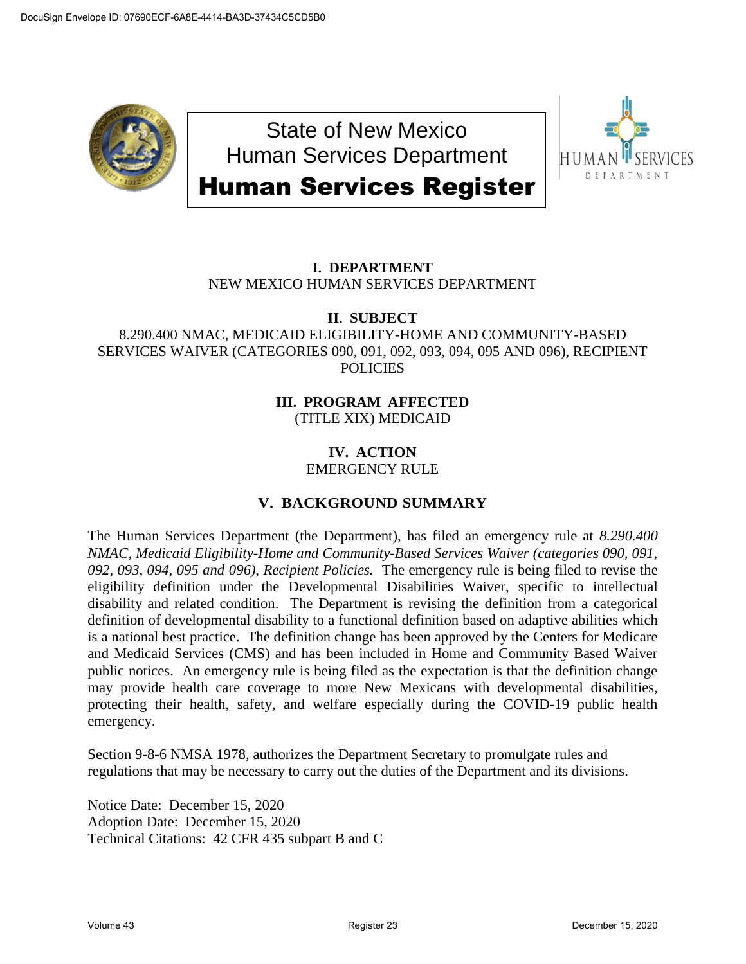

State of New Mexico Human Services Department Human Services Register



# **I. DEPARTMENT** NEW MEXICO HUMAN SERVICES DEPARTMENT

## **II. SUBJECT**

### 8.290.400 NMAC, MEDICAID ELIGIBILITY-HOME AND COMMUNITY-BASED SERVICES WAIVER (CATEGORIES 090, 091, 092, 093, 094, 095 AND 096), RECIPIENT **POLICIES**

### **III. PROGRAM AFFECTED** (TITLE XIX) MEDICAID

### **IV. ACTION** EMERGENCY RULE

## **V. BACKGROUND SUMMARY**

The Human Services Department (the Department), has filed an emergency rule at *8.290.400 NMAC, Medicaid Eligibility-Home and Community-Based Services Waiver (categories 090, 091, 092, 093, 094, 095 and 096), Recipient Policies.* The emergency rule is being filed to revise the eligibility definition under the Developmental Disabilities Waiver, specific to intellectual disability and related condition. The Department is revising the definition from a categorical definition of developmental disability to a functional definition based on adaptive abilities which is a national best practice. The definition change has been approved by the Centers for Medicare and Medicaid Services (CMS) and has been included in Home and Community Based Waiver public notices. An emergency rule is being filed as the expectation is that the definition change may provide health care coverage to more New Mexicans with developmental disabilities, protecting their health, safety, and welfare especially during the COVID-19 public health emergency.

Section 9-8-6 NMSA 1978, authorizes the Department Secretary to promulgate rules and regulations that may be necessary to carry out the duties of the Department and its divisions.

Notice Date: December 15, 2020 Adoption Date: December 15, 2020 Technical Citations: 42 CFR 435 subpart B and C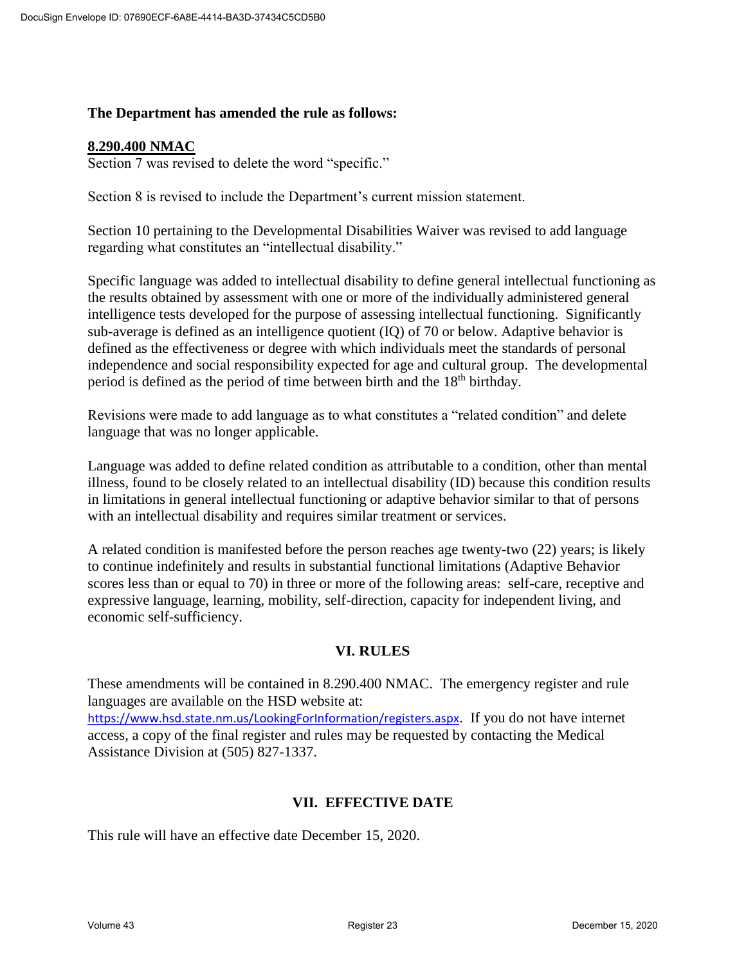#### **The Department has amended the rule as follows:**

#### **8.290.400 NMAC**

Section 7 was revised to delete the word "specific."

Section 8 is revised to include the Department's current mission statement.

Section 10 pertaining to the Developmental Disabilities Waiver was revised to add language regarding what constitutes an "intellectual disability."

Specific language was added to intellectual disability to define general intellectual functioning as the results obtained by assessment with one or more of the individually administered general intelligence tests developed for the purpose of assessing intellectual functioning. Significantly sub-average is defined as an intelligence quotient (IQ) of 70 or below. Adaptive behavior is defined as the effectiveness or degree with which individuals meet the standards of personal independence and social responsibility expected for age and cultural group. The developmental period is defined as the period of time between birth and the 18<sup>th</sup> birthday.

Revisions were made to add language as to what constitutes a "related condition" and delete language that was no longer applicable.

Language was added to define related condition as attributable to a condition, other than mental illness, found to be closely related to an intellectual disability (ID) because this condition results in limitations in general intellectual functioning or adaptive behavior similar to that of persons with an intellectual disability and requires similar treatment or services.

A related condition is manifested before the person reaches age twenty-two (22) years; is likely to continue indefinitely and results in substantial functional limitations (Adaptive Behavior scores less than or equal to 70) in three or more of the following areas: self-care, receptive and expressive language, learning, mobility, self-direction, capacity for independent living, and economic self-sufficiency.

#### **VI. RULES**

These amendments will be contained in 8.290.400 NMAC. The emergency register and rule languages are available on the HSD website at:

<https://www.hsd.state.nm.us/LookingForInformation/registers.aspx>. If you do not have internet access, a copy of the final register and rules may be requested by contacting the Medical Assistance Division at (505) 827-1337.

#### **VII. EFFECTIVE DATE**

This rule will have an effective date December 15, 2020.